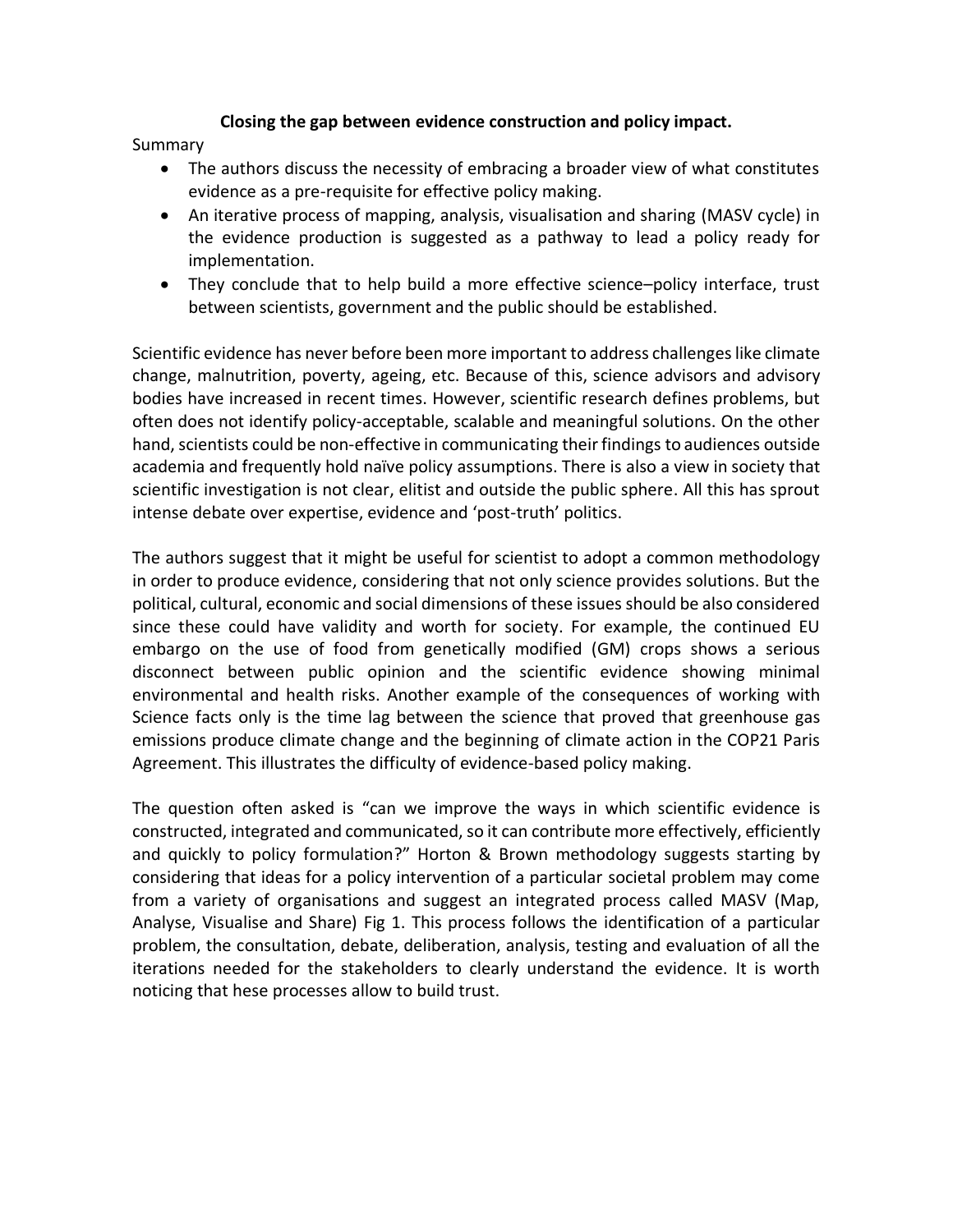## **Closing the gap between evidence construction and policy impact.**

Summary

- The authors discuss the necessity of embracing a broader view of what constitutes evidence as a pre-requisite for effective policy making.
- An iterative process of mapping, analysis, visualisation and sharing (MASV cycle) in the evidence production is suggested as a pathway to lead a policy ready for implementation.
- They conclude that to help build a more effective science–policy interface, trust between scientists, government and the public should be established.

Scientific evidence has never before been more important to address challenges like climate change, malnutrition, poverty, ageing, etc. Because of this, science advisors and advisory bodies have increased in recent times. However, scientific research defines problems, but often does not identify policy-acceptable, scalable and meaningful solutions. On the other hand, scientists could be non-effective in communicating their findings to audiences outside academia and frequently hold naïve policy assumptions. There is also a view in society that scientific investigation is not clear, elitist and outside the public sphere. All this has sprout intense debate over expertise, evidence and 'post-truth' politics.

The authors suggest that it might be useful for scientist to adopt a common methodology in order to produce evidence, considering that not only science provides solutions. But the political, cultural, economic and social dimensions of these issues should be also considered since these could have validity and worth for society. For example, the continued EU embargo on the use of food from genetically modified (GM) crops shows a serious disconnect between public opinion and the scientific evidence showing minimal environmental and health risks. Another example of the consequences of working with Science facts only is the time lag between the science that proved that greenhouse gas emissions produce climate change and the beginning of climate action in the COP21 Paris Agreement. This illustrates the difficulty of evidence-based policy making.

The question often asked is "can we improve the ways in which scientific evidence is constructed, integrated and communicated, so it can contribute more effectively, efficiently and quickly to policy formulation?" Horton & Brown methodology suggests starting by considering that ideas for a policy intervention of a particular societal problem may come from a variety of organisations and suggest an integrated process called MASV (Map, Analyse, Visualise and Share) Fig 1. This process follows the identification of a particular problem, the consultation, debate, deliberation, analysis, testing and evaluation of all the iterations needed for the stakeholders to clearly understand the evidence. It is worth noticing that hese processes allow to build trust.